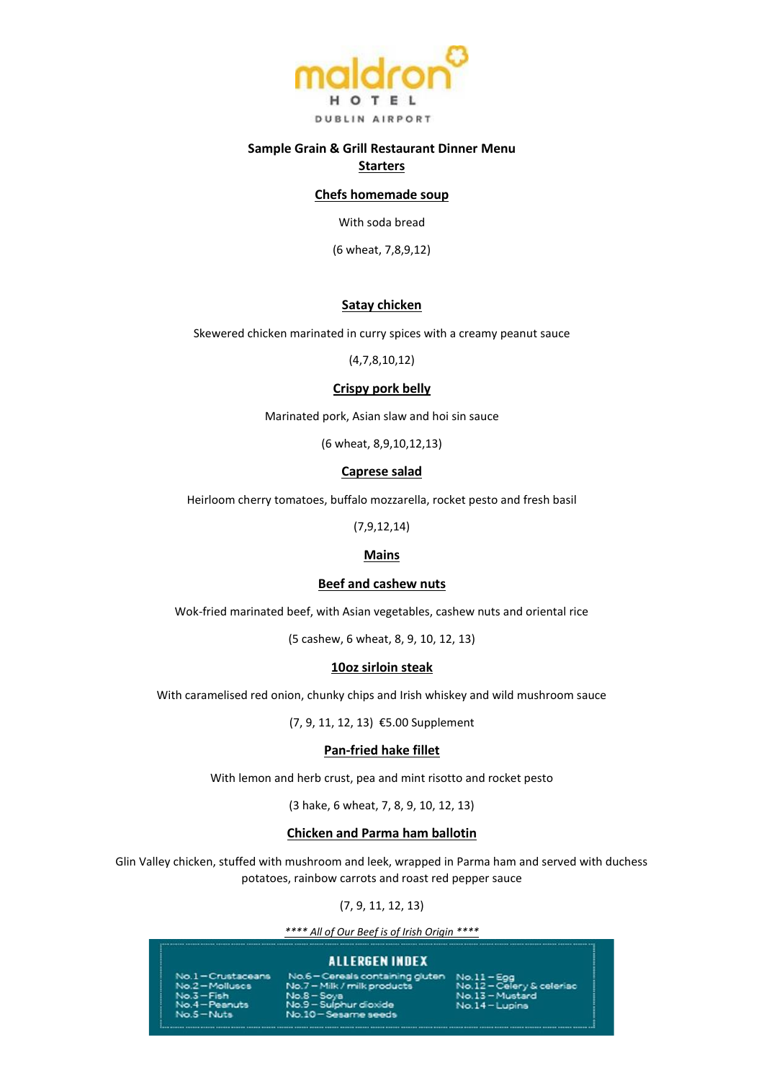

### **Sample Grain & Grill Restaurant Dinner Menu**

# **Starters**

### **Chefs homemade soup**

With soda bread

(6 wheat, 7,8,9,12)

#### **Satay chicken**

Skewered chicken marinated in curry spices with a creamy peanut sauce

(4,7,8,10,12)

### **Crispy pork belly**

Marinated pork, Asian slaw and hoi sin sauce

(6 wheat, 8,9,10,12,13)

#### **Caprese salad**

Heirloom cherry tomatoes, buffalo mozzarella, rocket pesto and fresh basil

(7,9,12,14)

#### **Mains**

#### **Beef and cashew nuts**

Wok-fried marinated beef, with Asian vegetables, cashew nuts and oriental rice

(5 cashew, 6 wheat, 8, 9, 10, 12, 13)

#### **10oz sirloin steak**

With caramelised red onion, chunky chips and Irish whiskey and wild mushroom sauce

(7, 9, 11, 12, 13) €5.00 Supplement

# **Pan-fried hake fillet**

With lemon and herb crust, pea and mint risotto and rocket pesto

(3 hake, 6 wheat, 7, 8, 9, 10, 12, 13)

#### **Chicken and Parma ham ballotin**

Glin Valley chicken, stuffed with mushroom and leek, wrapped in Parma ham and served with duchess potatoes, rainbow carrots and roast red pepper sauce

(7, 9, 11, 12, 13)

*\*\*\*\* All of Our Beef is of Irish Origin \*\*\*\**

### **ALLERGEN INDEX**

Crustaceans  $2 -$ Mollusca -Fish  $4 -$ Peanuts  $-$  Nuts

Cereals containing gluter - Milk / milk products No. 7 - Pillik 7 Haik produ<br>No. 9 - Sulphur dioxide<br>No. 10 - Sesame seeds

V & celeriac No